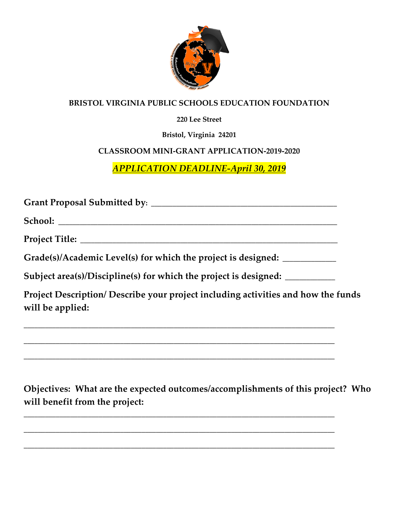

## **BRISTOL VIRGINIA PUBLIC SCHOOLS EDUCATION FOUNDATION**

## **220 Lee Street**

**Bristol, Virginia 24201**

## **CLASSROOM MINI-GRANT APPLICATION-2019-2020**

*APPLICATION DEADLINE-April 30, 2019*

**Grant Proposal Submitted by: \_\_\_\_\_\_\_\_\_\_\_\_\_\_\_\_\_\_\_\_\_\_\_\_\_\_\_\_\_\_\_\_\_\_\_\_\_\_\_\_\_\_\_\_\_\_\_\_\_\_\_\_**

**School: \_\_\_\_\_\_\_\_\_\_\_\_\_\_\_\_\_\_\_\_\_\_\_\_\_\_\_\_\_\_\_\_\_\_\_\_\_\_\_\_\_\_\_\_\_\_\_\_\_\_\_\_\_\_\_\_\_\_\_\_\_\_\_\_\_\_\_\_\_\_\_\_\_\_\_\_\_\_**

**Project Title: \_\_\_\_\_\_\_\_\_\_\_\_\_\_\_\_\_\_\_\_\_\_\_\_\_\_\_\_\_\_\_\_\_\_\_\_\_\_\_\_\_\_\_\_\_\_\_\_\_\_\_\_\_\_\_\_\_\_\_\_\_\_\_\_\_\_\_\_\_\_\_\_**

**Grade(s)/Academic Level(s) for which the project is designed: \_\_\_\_\_\_\_\_\_\_\_\_\_\_\_**

**Subject area(s)/Discipline(s) for which the project is designed: \_\_\_\_\_\_\_\_\_\_\_\_\_\_**

**\_\_\_\_\_\_\_\_\_\_\_\_\_\_\_\_\_\_\_\_\_\_\_\_\_\_\_\_\_\_\_\_\_\_\_\_\_\_\_\_\_\_\_\_\_\_\_\_\_\_\_\_\_\_\_\_\_\_\_\_\_\_\_\_\_\_\_\_\_\_\_\_\_\_\_\_\_\_\_\_\_\_\_\_\_\_\_**

**\_\_\_\_\_\_\_\_\_\_\_\_\_\_\_\_\_\_\_\_\_\_\_\_\_\_\_\_\_\_\_\_\_\_\_\_\_\_\_\_\_\_\_\_\_\_\_\_\_\_\_\_\_\_\_\_\_\_\_\_\_\_\_\_\_\_\_\_\_\_\_\_\_\_\_\_\_\_\_\_\_\_\_\_\_\_\_**

**\_\_\_\_\_\_\_\_\_\_\_\_\_\_\_\_\_\_\_\_\_\_\_\_\_\_\_\_\_\_\_\_\_\_\_\_\_\_\_\_\_\_\_\_\_\_\_\_\_\_\_\_\_\_\_\_\_\_\_\_\_\_\_\_\_\_\_\_\_\_\_\_\_\_\_\_\_\_\_\_\_\_\_\_\_\_\_**

**\_\_\_\_\_\_\_\_\_\_\_\_\_\_\_\_\_\_\_\_\_\_\_\_\_\_\_\_\_\_\_\_\_\_\_\_\_\_\_\_\_\_\_\_\_\_\_\_\_\_\_\_\_\_\_\_\_\_\_\_\_\_\_\_\_\_\_\_\_\_\_\_\_\_\_\_\_\_\_\_\_\_\_\_\_\_\_**

**\_\_\_\_\_\_\_\_\_\_\_\_\_\_\_\_\_\_\_\_\_\_\_\_\_\_\_\_\_\_\_\_\_\_\_\_\_\_\_\_\_\_\_\_\_\_\_\_\_\_\_\_\_\_\_\_\_\_\_\_\_\_\_\_\_\_\_\_\_\_\_\_\_\_\_\_\_\_\_\_\_\_\_\_\_\_\_**

**\_\_\_\_\_\_\_\_\_\_\_\_\_\_\_\_\_\_\_\_\_\_\_\_\_\_\_\_\_\_\_\_\_\_\_\_\_\_\_\_\_\_\_\_\_\_\_\_\_\_\_\_\_\_\_\_\_\_\_\_\_\_\_\_\_\_\_\_\_\_\_\_\_\_\_\_\_\_\_\_\_\_\_\_\_\_\_**

**Project Description/ Describe your project including activities and how the funds will be applied:**

**Objectives: What are the expected outcomes/accomplishments of this project? Who will benefit from the project:**